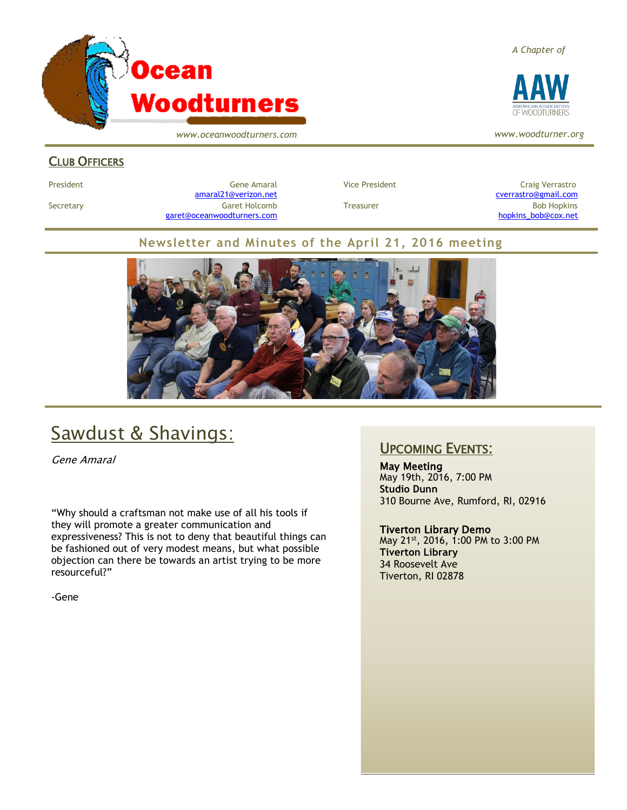

*www.oceanwoodturners.com*

#### *A Chapter of*



*www.woodturner.org*

#### CLUB OFFICERS

President Craig Verrastro Cene Amaral Cene Amaral Vice President Craig Verrastro Craig Verrastro [amaral21@verizon.net](mailto:amaral21@verizon.net) [cverrastro@gmail.com](mailto:cverrastro@gmail.com) Secretary Garet Holcomb Treasurer Bob Hopkins Bob Hopkins (Bob Hopkins Garet Holcomb [garet@oceanwoodturners.com](mailto:garet@oceanwoodturners.com) and the state of the state of the state of the state of the state of the state of the state of the state of the state of the state of the state of the state of the state of the state of the state

#### **Newsletter and Minutes of the April 21, 2016 meeting**



## Sawdust & Shavings:

Gene Amaral

"Why should a craftsman not make use of all his tools if they will promote a greater communication and expressiveness? This is not to deny that beautiful things can be fashioned out of very modest means, but what possible objection can there be towards an artist trying to be more resourceful?"

-Gene

#### UPCOMING EVENTS:

May Meeting May 19th, 2016, 7:00 PM **Studio Dunn** 310 Bourne Ave, Rumford, RI, 02916

#### Tiverton Library Demo

May 21st, 2016, 1:00 PM to 3:00 PM **Tiverton Library** 34 Roosevelt Ave Tiverton, RI 02878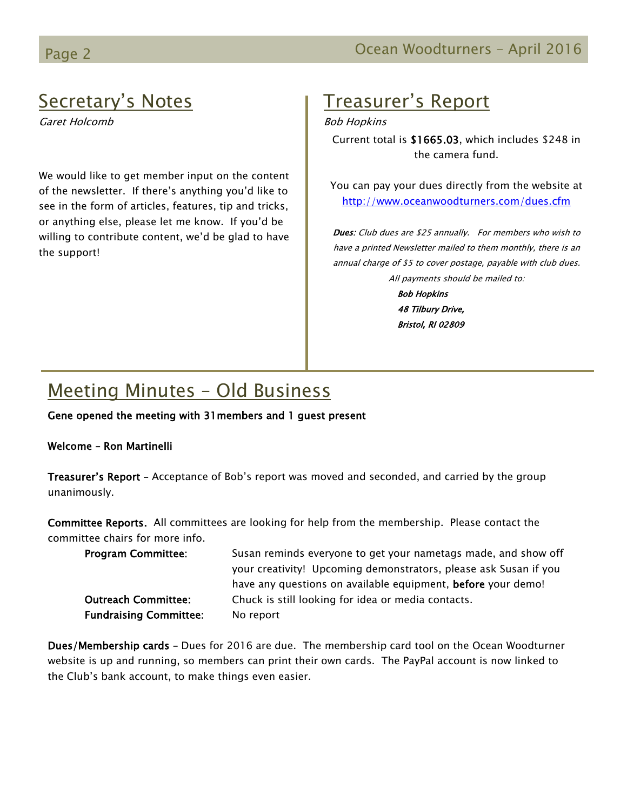## Secretary's Notes

Garet Holcomb

We would like to get member input on the content of the newsletter. If there's anything you'd like to see in the form of articles, features, tip and tricks, or anything else, please let me know. If you'd be willing to contribute content, we'd be glad to have the support!

## Treasurer's Report

Bob Hopkins

Current total is \$1665.03, which includes \$248 in the camera fund.

You can pay your dues directly from the website at <http://www.oceanwoodturners.com/dues.cfm>

Dues: Club dues are \$25 annually. For members who wish to have a printed Newsletter mailed to them monthly, there is an annual charge of \$5 to cover postage, payable with club dues. All payments should be mailed to:

> Bob Hopkins 48 Tilbury Drive, Bristol, RI 02809

# Meeting Minutes – Old Business

Gene opened the meeting with 31members and 1 guest present

#### Welcome – Ron Martinelli

Treasurer's Report – Acceptance of Bob's report was moved and seconded, and carried by the group unanimously.

Committee Reports. All committees are looking for help from the membership. Please contact the committee chairs for more info.

| <b>Program Committee:</b>     | Susan reminds everyone to get your nametags made, and show off   |
|-------------------------------|------------------------------------------------------------------|
|                               | your creativity! Upcoming demonstrators, please ask Susan if you |
|                               | have any questions on available equipment, before your demo!     |
| <b>Outreach Committee:</b>    | Chuck is still looking for idea or media contacts.               |
| <b>Fundraising Committee:</b> | No report                                                        |

Dues/Membership cards – Dues for 2016 are due. The membership card tool on the Ocean Woodturner website is up and running, so members can print their own cards. The PayPal account is now linked to the Club's bank account, to make things even easier.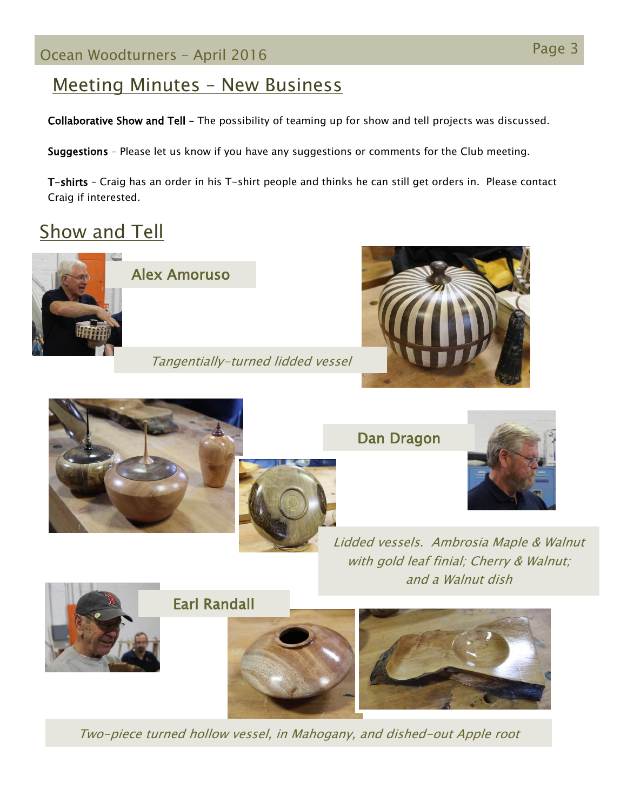# Page 3 Ocean Woodturners – April <sup>2016</sup>

## Meeting Minutes – New Business

Collaborative Show and Tell – The possibility of teaming up for show and tell projects was discussed.

Suggestions – Please let us know if you have any suggestions or comments for the Club meeting.

T-shirts – Craig has an order in his T-shirt people and thinks he can still get orders in. Please contact Craig if interested.

# **Show and Tell**



Dan Dragon



Lidded vessels. Ambrosia Maple & Walnut with gold leaf finial; Cherry & Walnut; and a Walnut dish



Earl Randall



Two-piece turned hollow vessel, in Mahogany, and dished-out Apple root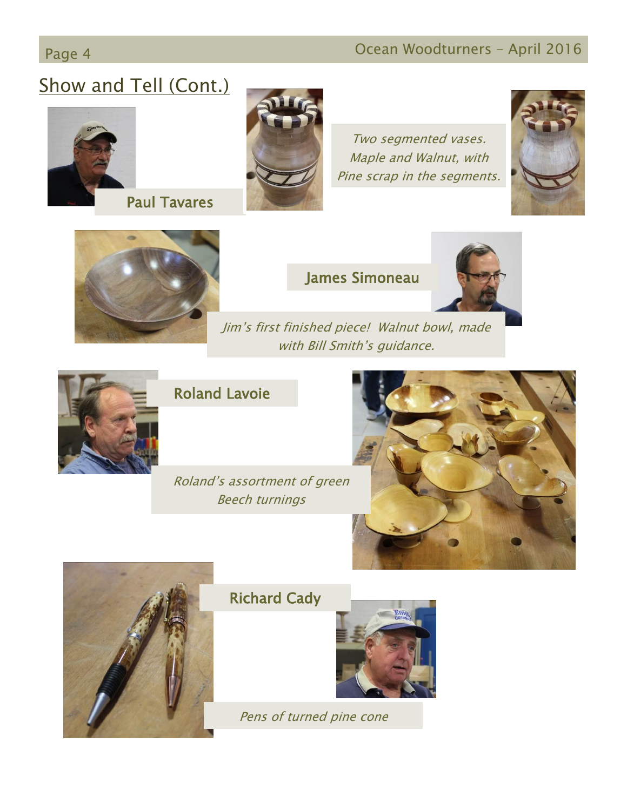# Page 4 **Ocean Woodturners – April 2016**

# Show and Tell (Cont.)





Two segmented vases. Maple and Walnut, with Pine scrap in the segments.





#### James Simoneau



Jim's first finished piece! Walnut bowl, made with Bill Smith's guidance.



## Roland Lavoie

Roland's assortment of green Beech turnings





## Richard Cady



Pens of turned pine cone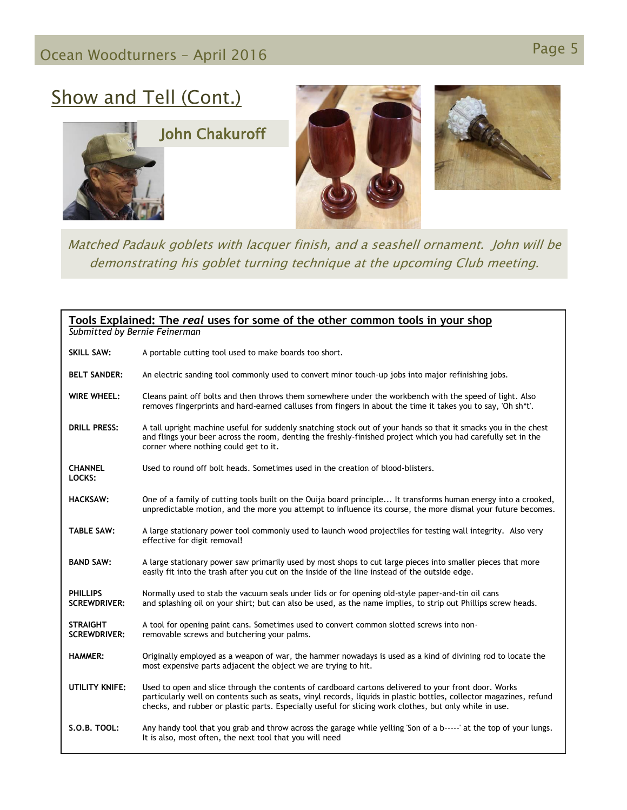# Page 5 Ocean Woodturners – April <sup>2016</sup>

## Show and Tell (Cont.)





Matched Padauk goblets with lacquer finish, and a seashell ornament. John will be demonstrating his goblet turning technique at the upcoming Club meeting.

| Tools Explained: The real uses for some of the other common tools in your shop<br>Submitted by Bernie Feinerman |                                                                                                                                                                                                                                                                                                                                        |  |
|-----------------------------------------------------------------------------------------------------------------|----------------------------------------------------------------------------------------------------------------------------------------------------------------------------------------------------------------------------------------------------------------------------------------------------------------------------------------|--|
| <b>SKILL SAW:</b>                                                                                               | A portable cutting tool used to make boards too short.                                                                                                                                                                                                                                                                                 |  |
| <b>BELT SANDER:</b>                                                                                             | An electric sanding tool commonly used to convert minor touch-up jobs into major refinishing jobs.                                                                                                                                                                                                                                     |  |
| <b>WIRE WHEEL:</b>                                                                                              | Cleans paint off bolts and then throws them somewhere under the workbench with the speed of light. Also<br>removes fingerprints and hard-earned calluses from fingers in about the time it takes you to say, 'Oh sh*t'.                                                                                                                |  |
| <b>DRILL PRESS:</b>                                                                                             | A tall upright machine useful for suddenly snatching stock out of your hands so that it smacks you in the chest<br>and flings your beer across the room, denting the freshly-finished project which you had carefully set in the<br>corner where nothing could get to it.                                                              |  |
| <b>CHANNEL</b><br>LOCKS:                                                                                        | Used to round off bolt heads. Sometimes used in the creation of blood-blisters.                                                                                                                                                                                                                                                        |  |
| <b>HACKSAW:</b>                                                                                                 | One of a family of cutting tools built on the Ouija board principle It transforms human energy into a crooked,<br>unpredictable motion, and the more you attempt to influence its course, the more dismal your future becomes.                                                                                                         |  |
| <b>TABLE SAW:</b>                                                                                               | A large stationary power tool commonly used to launch wood projectiles for testing wall integrity. Also very<br>effective for digit removal!                                                                                                                                                                                           |  |
| <b>BAND SAW:</b>                                                                                                | A large stationary power saw primarily used by most shops to cut large pieces into smaller pieces that more<br>easily fit into the trash after you cut on the inside of the line instead of the outside edge.                                                                                                                          |  |
| <b>PHILLIPS</b><br><b>SCREWDRIVER:</b>                                                                          | Normally used to stab the vacuum seals under lids or for opening old-style paper-and-tin oil cans<br>and splashing oil on your shirt; but can also be used, as the name implies, to strip out Phillips screw heads.                                                                                                                    |  |
| <b>STRAIGHT</b><br><b>SCREWDRIVER:</b>                                                                          | A tool for opening paint cans. Sometimes used to convert common slotted screws into non-<br>removable screws and butchering your palms.                                                                                                                                                                                                |  |
| <b>HAMMER:</b>                                                                                                  | Originally employed as a weapon of war, the hammer nowadays is used as a kind of divining rod to locate the<br>most expensive parts adjacent the object we are trying to hit.                                                                                                                                                          |  |
| <b>UTILITY KNIFE:</b>                                                                                           | Used to open and slice through the contents of cardboard cartons delivered to your front door. Works<br>particularly well on contents such as seats, vinyl records, liquids in plastic bottles, collector magazines, refund<br>checks, and rubber or plastic parts. Especially useful for slicing work clothes, but only while in use. |  |
| S.O.B. TOOL:                                                                                                    | Any handy tool that you grab and throw across the garage while yelling 'Son of a b-----' at the top of your lungs.<br>It is also, most often, the next tool that you will need                                                                                                                                                         |  |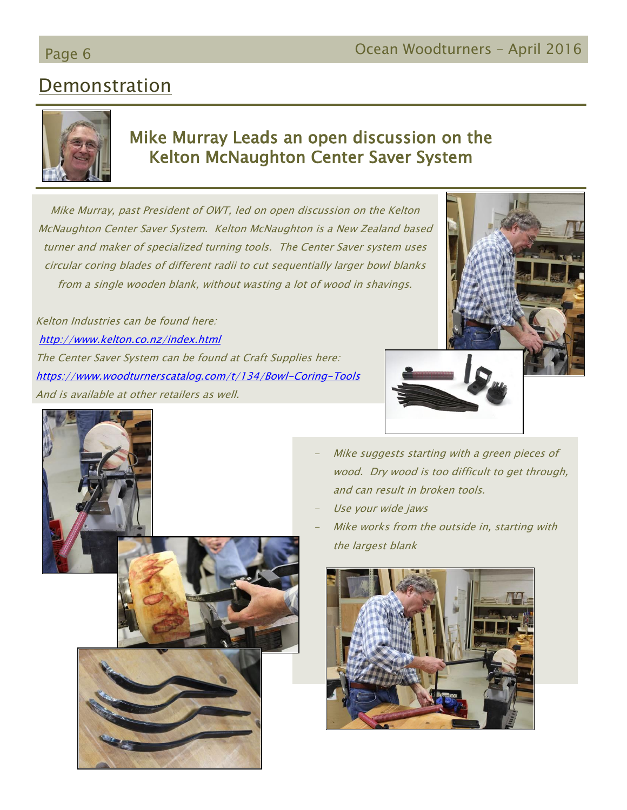## Page 6 **Ocean Woodturners – April 2016**

## **Demonstration**



### Mike Murray Leads an open discussion on the Kelton McNaughton Center Saver System

Mike Murray, past President of OWT, led on open discussion on the Kelton McNaughton Center Saver System. Kelton McNaughton is a New Zealand based turner and maker of specialized turning tools. The Center Saver system uses circular coring blades of different radii to cut sequentially larger bowl blanks from a single wooden blank, without wasting a lot of wood in shavings.

Kelton Industries can be found here: <http://www.kelton.co.nz/index.html> The Center Saver System can be found at Craft Supplies here: <https://www.woodturnerscatalog.com/t/134/Bowl-Coring-Tools> And is available at other retailers as well.





- Mike suggests starting with a green pieces of wood. Dry wood is too difficult to get through, and can result in broken tools.
- Use your wide jaws
- Mike works from the outside in, starting with the largest blank